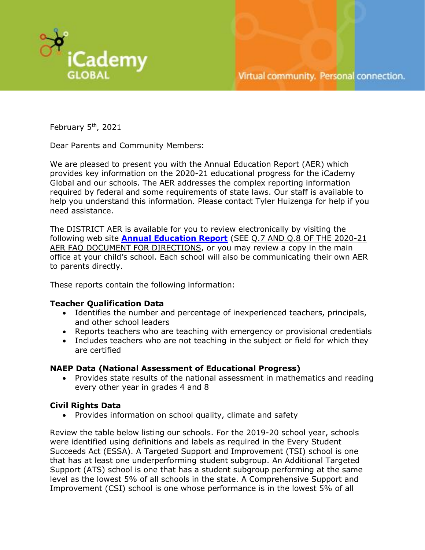

February  $5<sup>th</sup>$ , 2021

Dear Parents and Community Members:

We are pleased to present you with the Annual Education Report (AER) which provides key information on the 2020-21 educational progress for the iCademy Global and our schools. The AER addresses the complex reporting information required by federal and some requirements of state laws. Our staff is available to help you understand this information. Please contact Tyler Huizenga for help if you need assistance.

The DISTRICT AER is available for you to review electronically by visiting the following web site **[Annual Education Report](https://www.mischooldata.org/annual-education-report-1/)** (SEE Q.7 AND Q.8 OF THE 2020-21 AER FAQ DOCUMENT FOR DIRECTIONS, or you may review a copy in the main office at your child's school. Each school will also be communicating their own AER to parents directly.

These reports contain the following information:

### **Teacher Qualification Data**

- Identifies the number and percentage of inexperienced teachers, principals, and other school leaders
- Reports teachers who are teaching with emergency or provisional credentials
- Includes teachers who are not teaching in the subject or field for which they are certified

#### **NAEP Data (National Assessment of Educational Progress)**

• Provides state results of the national assessment in mathematics and reading every other year in grades 4 and 8

### **Civil Rights Data**

• Provides information on school quality, climate and safety

Review the table below listing our schools. For the 2019-20 school year, schools were identified using definitions and labels as required in the Every Student Succeeds Act (ESSA). A Targeted Support and Improvement (TSI) school is one that has at least one underperforming student subgroup. An Additional Targeted Support (ATS) school is one that has a student subgroup performing at the same level as the lowest 5% of all schools in the state. A Comprehensive Support and Improvement (CSI) school is one whose performance is in the lowest 5% of all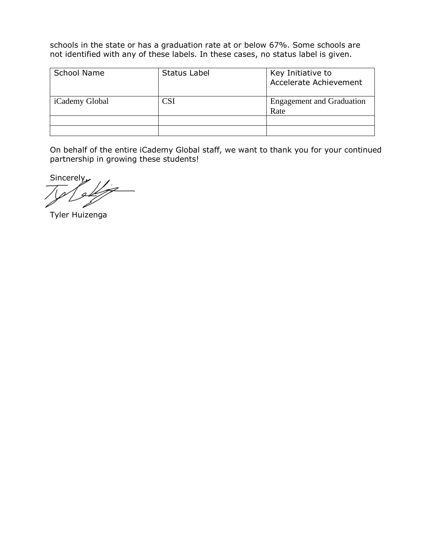schools in the state or has a graduation rate at or below 67%. Some schools are not identified with any of these labels. In these cases, no status label is given.

| <b>School Name</b> | <b>Status Label</b> | Key Initiative to<br><b>Accelerate Achievement</b> |
|--------------------|---------------------|----------------------------------------------------|
| iCademy Global     | CSI                 | <b>Engagement and Graduation</b><br>Rate           |
|                    |                     |                                                    |
|                    |                     |                                                    |

On behalf of the entire iCademy Global staff, we want to thank you for your continued partnership in growing these students!

Sincerely,

Tyler Huizenga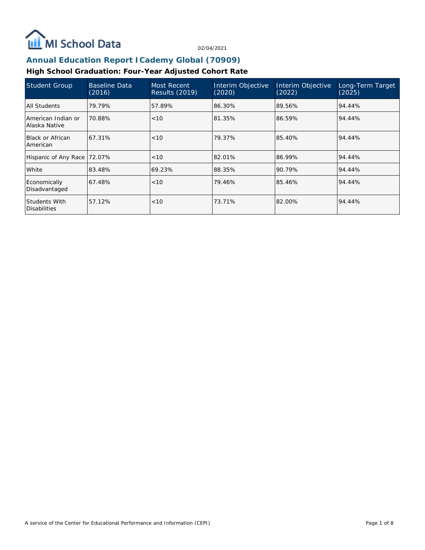

# **Annual Education Report ICademy Global (70909)**

### **High School Graduation: Four-Year Adjusted Cohort Rate**

| <b>Student Group</b>                 | <b>Baseline Data</b><br>(2016) | Most Recent<br><b>Results (2019)</b> | Interim Objective<br>(2020) | Interim Objective<br>(2022) | Long-Term Target<br>(2025) |
|--------------------------------------|--------------------------------|--------------------------------------|-----------------------------|-----------------------------|----------------------------|
| All Students                         | 79.79%                         | 57.89%                               | 86.30%                      | 89.56%                      | 94.44%                     |
| American Indian or<br>Alaska Native  | 70.88%                         | < 10                                 | 81.35%                      | 86.59%                      | 94.44%                     |
| <b>Black or African</b><br>American  | 67.31%                         | < 10                                 | 79.37%                      | 85.40%                      | 94.44%                     |
| Hispanic of Any Race                 | 72.07%                         | < 10                                 | 82.01%                      | 86.99%                      | 94.44%                     |
| White                                | 83.48%                         | 69.23%                               | 88.35%                      | 90.79%                      | 94.44%                     |
| Economically<br>Disadvantaged        | 67.48%                         | < 10                                 | 79.46%                      | 85.46%                      | 94.44%                     |
| Students With<br><b>Disabilities</b> | 57.12%                         | < 10                                 | 73.71%                      | 82.00%                      | 94.44%                     |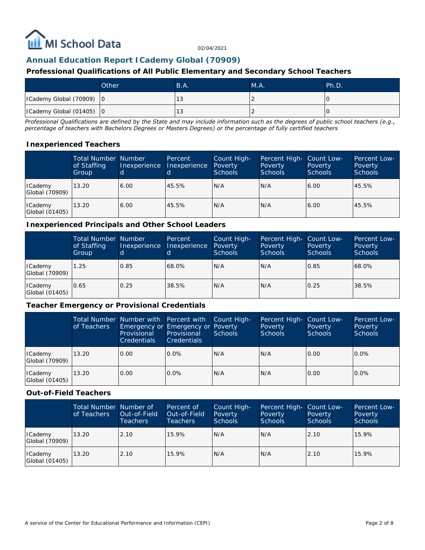

### **Annual Education Report ICademy Global (70909)**

### **Professional Qualifications of All Public Elementary and Secondary School Teachers**

|                                          | Other | B.A. | MA. | Ph.D. |
|------------------------------------------|-------|------|-----|-------|
| ICademy Global (70909) 0                 |       | ು    |     |       |
| $\vert$ ICademy Global (01405) $\vert$ 0 |       | ು    |     |       |

*Professional Qualifications are defined by the State and may include information such as the degrees of public school teachers (e.g., percentage of teachers with Bachelors Degrees or Masters Degrees) or the percentage of fully certified teachers*

#### **Inexperienced Teachers**

|                                  | <b>Total Number Number</b><br>of Staffing<br>Group | Inexperience | Percent<br>Inexperience | Count High-<br>Poverty<br><b>Schools</b> | Percent High- Count Low-<br>Poverty<br><b>Schools</b> | Poverty<br><b>Schools</b> | Percent Low-<br>Poverty<br>Schools |
|----------------------------------|----------------------------------------------------|--------------|-------------------------|------------------------------------------|-------------------------------------------------------|---------------------------|------------------------------------|
| ICademy<br>Global (70909)        | 13.20                                              | 6.00         | 45.5%                   | IN/A                                     | N/A                                                   | 6.00                      | 45.5%                              |
| <b>ICademy</b><br>Global (01405) | 13.20                                              | 6.00         | 45.5%                   | IN/A                                     | N/A                                                   | 6.00                      | 45.5%                              |

#### **Inexperienced Principals and Other School Leaders**

|                                  | <b>Total Number Number</b><br>of Staffing<br>Group | Inexperience<br>d | Percent<br>Inexperience | Count High-<br>Poverty<br><b>Schools</b> | Percent High- Count Low-<br>Poverty<br><b>Schools</b> | Poverty<br><b>Schools</b> | Percent Low-<br>Poverty<br>Schools |
|----------------------------------|----------------------------------------------------|-------------------|-------------------------|------------------------------------------|-------------------------------------------------------|---------------------------|------------------------------------|
| ICademy<br>Global (70909)        | 1.25                                               | 0.85              | 68.0%                   | IN/A                                     | N/A                                                   | 0.85                      | 68.0%                              |
| <b>ICademy</b><br>Global (01405) | 0.65                                               | 0.25              | 38.5%                   | IN/A                                     | N/A                                                   | 0.25                      | 38.5%                              |

#### **Teacher Emergency or Provisional Credentials**

|                                  | of Teachers | Total Number Number with Percent with<br>Emergency or Emergency or Poverty<br>Provisional<br><b>Credentials</b> | Provisional<br><b>Credentials</b> | Count High-<br><b>Schools</b> | Percent High- Count Low-<br>Poverty<br><b>Schools</b> | Poverty<br>Schools | Percent Low-<br>Poverty<br><b>Schools</b> |
|----------------------------------|-------------|-----------------------------------------------------------------------------------------------------------------|-----------------------------------|-------------------------------|-------------------------------------------------------|--------------------|-------------------------------------------|
| ICademy<br>Global (70909)        | 13.20       | 0.00                                                                                                            | $0.0\%$                           | IN/A                          | N/A                                                   | 0.00               | $0.0\%$                                   |
| <b>ICademy</b><br>Global (01405) | 13.20       | 0.00                                                                                                            | $0.0\%$                           | IN/A                          | N/A                                                   | 0.00               | 0.0%                                      |

#### **Out-of-Field Teachers**

|                           | Total Number Number of<br>of Teachers | Out-of-Field<br>Teachers | Percent of<br>Out-of-Field<br>Teachers | Count High-<br>Poverty<br>Schools | Percent High- Count Low-<br>Poverty<br><b>Schools</b> | Poverty<br><b>Schools</b> | <b>Percent Low-</b><br>Poverty<br><b>Schools</b> |
|---------------------------|---------------------------------------|--------------------------|----------------------------------------|-----------------------------------|-------------------------------------------------------|---------------------------|--------------------------------------------------|
| ICademy<br>Global (70909) | 13.20                                 | 2.10                     | 15.9%                                  | IN/A                              | N/A                                                   | 2.10                      | 15.9%                                            |
| ICademy<br>Global (01405) | 13.20                                 | 2.10                     | 15.9%                                  | IN/A                              | N/A                                                   | 2.10                      | 15.9%                                            |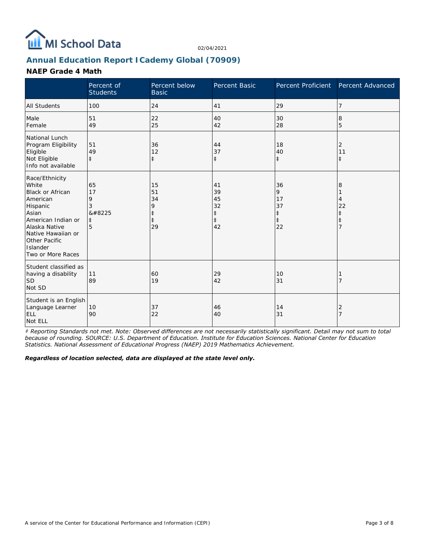

## **Annual Education Report ICademy Global (70909)**

### **NAEP Grade 4 Math**

|                                                                                                                                                                                                    | Percent of<br><b>Students</b>              | Percent below<br><b>Basic</b>           | <b>Percent Basic</b>                                   | Percent Proficient                                    | Percent Advanced      |
|----------------------------------------------------------------------------------------------------------------------------------------------------------------------------------------------------|--------------------------------------------|-----------------------------------------|--------------------------------------------------------|-------------------------------------------------------|-----------------------|
| <b>All Students</b>                                                                                                                                                                                | 100                                        | 24                                      | 41                                                     | 29                                                    | 7                     |
| Male<br>Female                                                                                                                                                                                     | 51<br>49                                   | 22<br>25                                | 40<br>42                                               | 30<br>28                                              | 8<br>5                |
| National Lunch<br>Program Eligibility<br>Eligible<br>Not Eligible<br>Info not available                                                                                                            | 51<br>49<br>$\ddagger$                     | 36<br>12<br>$\ddagger$                  | 44<br>37<br>$\ddagger$                                 | 18<br>40<br>$\ddagger$                                | 2<br>11<br>$\ddagger$ |
| Race/Ethnicity<br>White<br><b>Black or African</b><br>American<br>Hispanic<br>Asian<br>American Indian or<br>Alaska Native<br>Native Hawaiian or<br>Other Pacific<br>Islander<br>Two or More Races | 65<br>17<br>9<br>3<br>‡<br>$\ddagger$<br>5 | 15<br>51<br>34<br>9<br>$\ddagger$<br>29 | 41<br>39<br>45<br>32<br>$\ddagger$<br>$\ddagger$<br>42 | 36<br>9<br>17<br>37<br>$\ddagger$<br>$\ddagger$<br>22 | 8<br>4<br>22<br>ŧ     |
| Student classified as<br>having a disability<br><b>SD</b><br>Not SD                                                                                                                                | 11<br>89                                   | 60<br>19                                | 29<br>42                                               | 10<br>31                                              |                       |
| Student is an English<br>Language Learner<br><b>ELL</b><br>Not ELL                                                                                                                                 | 10<br>90                                   | 37<br>22                                | 46<br>40                                               | 14<br>31                                              | 2                     |

*‡ Reporting Standards not met. Note: Observed differences are not necessarily statistically significant. Detail may not sum to total because of rounding. SOURCE: U.S. Department of Education. Institute for Education Sciences. National Center for Education Statistics. National Assessment of Educational Progress (NAEP) 2019 Mathematics Achievement.*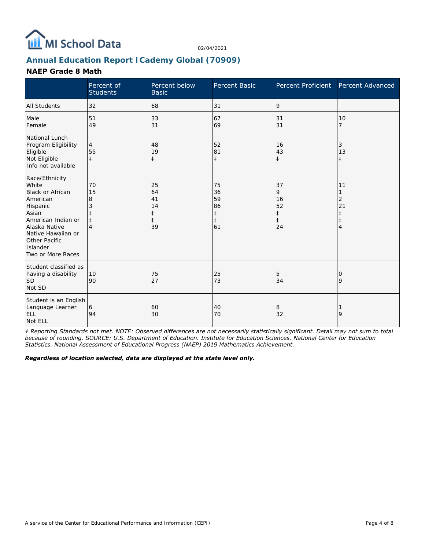

## **Annual Education Report ICademy Global (70909)**

### **NAEP Grade 8 Math**

|                                                                                                                                                                                                    | Percent of<br><b>Students</b>         | Percent below<br><b>Basic</b>            | Percent Basic                                          | Percent Proficient                                    | Percent Advanced                     |
|----------------------------------------------------------------------------------------------------------------------------------------------------------------------------------------------------|---------------------------------------|------------------------------------------|--------------------------------------------------------|-------------------------------------------------------|--------------------------------------|
| <b>All Students</b>                                                                                                                                                                                | 32                                    | 68                                       | 31                                                     | 9                                                     |                                      |
| Male<br>Female                                                                                                                                                                                     | 51<br>49                              | 33<br>31                                 | 67<br>69                                               | 31<br>31                                              | 10<br>$\overline{7}$                 |
| National Lunch<br>Program Eligibility<br>Eligible<br>Not Eligible<br>Info not available                                                                                                            | 4<br>55<br>$\ddagger$                 | 48<br>19<br>$\ddagger$                   | 52<br>81<br>$\ddagger$                                 | 16<br>43<br>$\ddagger$                                | 3<br>13<br>$\ddagger$                |
| Race/Ethnicity<br>White<br><b>Black or African</b><br>American<br>Hispanic<br>Asian<br>American Indian or<br>Alaska Native<br>Native Hawaiian or<br>Other Pacific<br>Islander<br>Two or More Races | 70<br>15<br>8<br>3<br>$\ddagger$<br>4 | 25<br>64<br>41<br>14<br>$\ddagger$<br>39 | 75<br>36<br>59<br>86<br>$\ddagger$<br>$\ddagger$<br>61 | 37<br>9<br>16<br>52<br>$\ddagger$<br>$\ddagger$<br>24 | 11<br>$\overline{2}$<br>21<br>⇟<br>4 |
| Student classified as<br>having a disability<br><b>SD</b><br>Not SD                                                                                                                                | 10<br>90                              | 75<br>27                                 | 25<br>73                                               | 5<br>34                                               | 0<br>9                               |
| Student is an English<br>Language Learner<br><b>ELL</b><br>Not ELL                                                                                                                                 | 6<br>94                               | 60<br>30                                 | 40<br>70                                               | 8<br>32                                               | 9                                    |

*‡ Reporting Standards not met. NOTE: Observed differences are not necessarily statistically significant. Detail may not sum to total because of rounding. SOURCE: U.S. Department of Education. Institute for Education Sciences. National Center for Education Statistics. National Assessment of Educational Progress (NAEP) 2019 Mathematics Achievement.*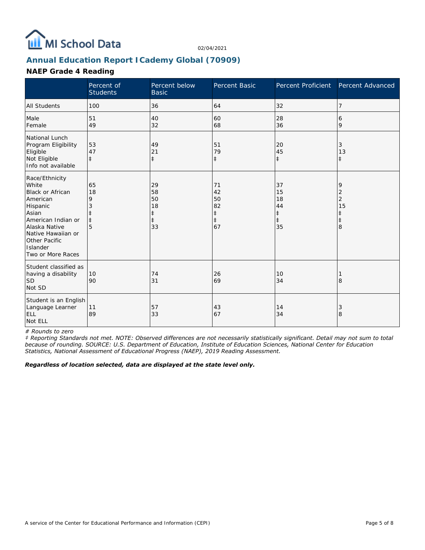

## **Annual Education Report ICademy Global (70909)**

### **NAEP Grade 4 Reading**

|                                                                                                                                                                                                    | Percent of<br><b>Students</b> | Percent below<br><b>Basic</b>                          | Percent Basic                                          | Percent Proficient                                     | Percent Advanced                         |
|----------------------------------------------------------------------------------------------------------------------------------------------------------------------------------------------------|-------------------------------|--------------------------------------------------------|--------------------------------------------------------|--------------------------------------------------------|------------------------------------------|
| <b>All Students</b>                                                                                                                                                                                | 100                           | 36                                                     | 64                                                     | 32                                                     | 7                                        |
| Male<br>Female                                                                                                                                                                                     | 51<br>49                      | 40<br>32                                               | 60<br>68                                               | 28<br>36                                               | 6<br>9                                   |
| National Lunch<br>Program Eligibility<br>Eligible<br>Not Eligible<br>Info not available                                                                                                            | 53<br>47<br>$\pm$             | 49<br>21<br>$\ddagger$                                 | 51<br>79<br>$\ddagger$                                 | 20<br>45<br>$\ddagger$                                 | 3<br>13<br>$\pm$                         |
| Race/Ethnicity<br>White<br><b>Black or African</b><br>American<br>Hispanic<br>Asian<br>American Indian or<br>Alaska Native<br>Native Hawaiian or<br>Other Pacific<br>Islander<br>Two or More Races | 65<br>18<br>9<br>$\ddagger$   | 29<br>58<br>50<br>18<br>$\ddagger$<br>$\ddagger$<br>33 | 71<br>42<br>50<br>82<br>$\ddagger$<br>$\ddagger$<br>67 | 37<br>15<br>18<br>44<br>$\ddagger$<br>$\ddagger$<br>35 | 9<br>2<br>$\overline{2}$<br>15<br>⇟<br>8 |
| Student classified as<br>having a disability<br><b>SD</b><br>Not SD                                                                                                                                | 10<br>90                      | 74<br>31                                               | 26<br>69                                               | 10<br>34                                               | 8                                        |
| Student is an English<br>Language Learner<br><b>ELL</b><br>Not ELL                                                                                                                                 | 11<br>89                      | 57<br>33                                               | 43<br>67                                               | 14<br>34                                               | 3<br>8                                   |

*# Rounds to zero*

*‡ Reporting Standards not met. NOTE: Observed differences are not necessarily statistically significant. Detail may not sum to total because of rounding. SOURCE: U.S. Department of Education, Institute of Education Sciences, National Center for Education Statistics, National Assessment of Educational Progress (NAEP), 2019 Reading Assessment.*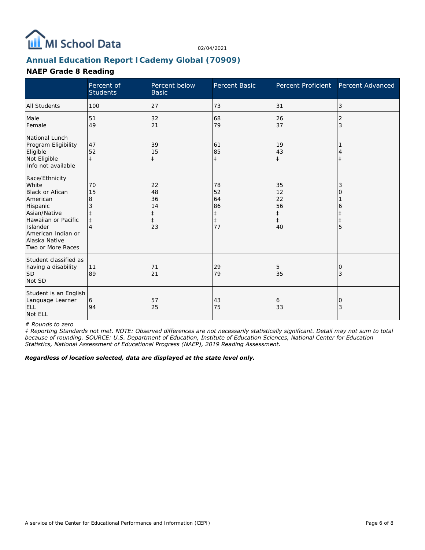

## **Annual Education Report ICademy Global (70909)**

### **NAEP Grade 8 Reading**

|                                                                                                                                                                                   | Percent of<br><b>Students</b> | Percent below<br><b>Basic</b>                          | Percent Basic                                          | Percent Proficient                                     | Percent Advanced |
|-----------------------------------------------------------------------------------------------------------------------------------------------------------------------------------|-------------------------------|--------------------------------------------------------|--------------------------------------------------------|--------------------------------------------------------|------------------|
| <b>All Students</b>                                                                                                                                                               | 100                           | 27                                                     | 73                                                     | 31                                                     | 3                |
| Male<br>Female                                                                                                                                                                    | 51<br>49                      | 32<br>21                                               | 68<br>79                                               | 26<br>37                                               | 2<br>3           |
| National Lunch<br>Program Eligibility<br>Eligible<br>Not Eligible<br>Info not available                                                                                           | 47<br>52<br>$\pm$             | 39<br>15<br>$\ddagger$                                 | 61<br>85<br>$\ddagger$                                 | 19<br>43<br>$\ddagger$                                 | ŧ                |
| Race/Ethnicity<br>White<br>Black or Afican<br>American<br>Hispanic<br>Asian/Native<br>Hawaiian or Pacific<br>Islander<br>American Indian or<br>Alaska Native<br>Two or More Races | 70<br>15<br>8<br>$\pm$        | 22<br>48<br>36<br>14<br>$\ddagger$<br>$\ddagger$<br>23 | 78<br>52<br>64<br>86<br>$\ddagger$<br>$\ddagger$<br>77 | 35<br>12<br>22<br>56<br>$\ddagger$<br>$\ddagger$<br>40 | 3<br>ი<br>6<br>5 |
| Student classified as<br>having a disability<br>SD<br>Not SD                                                                                                                      | 11<br>89                      | 71<br>21                                               | 29<br>79                                               | 5<br>35                                                | 0<br>3           |
| Student is an English<br>Language Learner<br><b>ELL</b><br>Not ELL                                                                                                                | 6<br>94                       | 57<br>25                                               | 43<br>75                                               | 6<br>33                                                | 0<br>3           |

*# Rounds to zero*

*‡ Reporting Standards not met. NOTE: Observed differences are not necessarily statistically significant. Detail may not sum to total because of rounding. SOURCE: U.S. Department of Education, Institute of Education Sciences, National Center for Education Statistics, National Assessment of Educational Progress (NAEP), 2019 Reading Assessment.*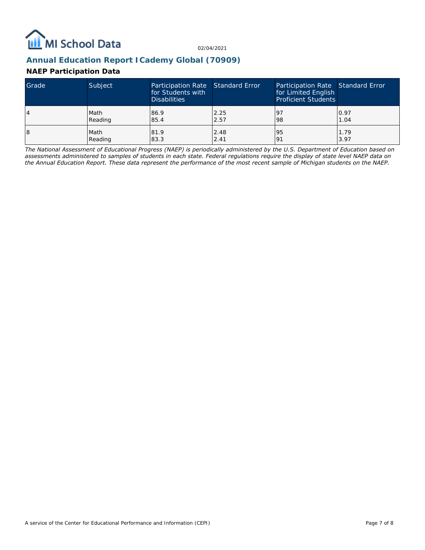

### **Annual Education Report ICademy Global (70909)**

### **NAEP Participation Data**

| Grade | Subject | Participation Rate Standard Error<br>for Students with<br><b>Disabilities</b> |      | Participation Rate Standard Error<br>for Limited English<br><b>Proficient Students</b> |      |
|-------|---------|-------------------------------------------------------------------------------|------|----------------------------------------------------------------------------------------|------|
| 4     | Math    | 86.9                                                                          | 2.25 | -97                                                                                    | 0.97 |
|       | Reading | 85.4                                                                          | 2.57 | 98                                                                                     | 1.04 |
| 18    | Math    | 81.9                                                                          | 2.48 | 95                                                                                     | 1.79 |
|       | Reading | 83.3                                                                          | 2.41 | 191                                                                                    | 3.97 |

*The National Assessment of Educational Progress (NAEP) is periodically administered by the U.S. Department of Education based on assessments administered to samples of students in each state. Federal regulations require the display of state level NAEP data on the Annual Education Report. These data represent the performance of the most recent sample of Michigan students on the NAEP.*